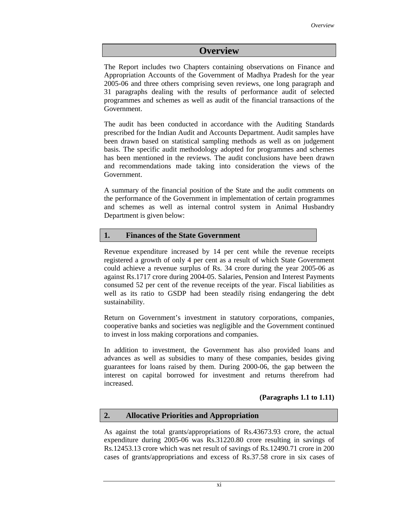# **Overview**

The Report includes two Chapters containing observations on Finance and Appropriation Accounts of the Government of Madhya Pradesh for the year 2005-06 and three others comprising seven reviews, one long paragraph and 31 paragraphs dealing with the results of performance audit of selected programmes and schemes as well as audit of the financial transactions of the Government.

The audit has been conducted in accordance with the Auditing Standards prescribed for the Indian Audit and Accounts Department. Audit samples have been drawn based on statistical sampling methods as well as on judgement basis. The specific audit methodology adopted for programmes and schemes has been mentioned in the reviews. The audit conclusions have been drawn and recommendations made taking into consideration the views of the Government.

A summary of the financial position of the State and the audit comments on the performance of the Government in implementation of certain programmes and schemes as well as internal control system in Animal Husbandry Department is given below:

#### **1. Finances of the State Government**

Revenue expenditure increased by 14 per cent while the revenue receipts registered a growth of only 4 per cent as a result of which State Government could achieve a revenue surplus of Rs. 34 crore during the year 2005-06 as against Rs.1717 crore during 2004-05. Salaries, Pension and Interest Payments consumed 52 per cent of the revenue receipts of the year. Fiscal liabilities as well as its ratio to GSDP had been steadily rising endangering the debt sustainability.

Return on Government's investment in statutory corporations, companies, cooperative banks and societies was negligible and the Government continued to invest in loss making corporations and companies.

In addition to investment, the Government has also provided loans and advances as well as subsidies to many of these companies, besides giving guarantees for loans raised by them. During 2000-06, the gap between the interest on capital borrowed for investment and returns therefrom had increased.

#### **(Paragraphs 1.1 to 1.11)**

# **2. Allocative Priorities and Appropriation**

As against the total grants/appropriations of Rs.43673.93 crore, the actual expenditure during 2005-06 was Rs.31220.80 crore resulting in savings of Rs.12453.13 crore which was net result of savings of Rs.12490.71 crore in 200 cases of grants/appropriations and excess of Rs.37.58 crore in six cases of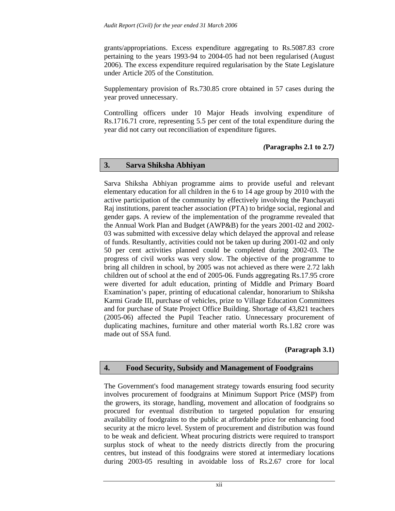grants/appropriations. Excess expenditure aggregating to Rs.5087.83 crore pertaining to the years 1993-94 to 2004-05 had not been regularised (August 2006). The excess expenditure required regularisation by the State Legislature under Article 205 of the Constitution.

Supplementary provision of Rs.730.85 crore obtained in 57 cases during the year proved unnecessary.

Controlling officers under 10 Major Heads involving expenditure of Rs.1716.71 crore, representing 5.5 per cent of the total expenditure during the year did not carry out reconciliation of expenditure figures.

# *(***Paragraphs 2.1 to 2.7***)*

#### **3. Sarva Shiksha Abhiyan**

Sarva Shiksha Abhiyan programme aims to provide useful and relevant elementary education for all children in the 6 to 14 age group by 2010 with the active participation of the community by effectively involving the Panchayati Raj institutions, parent teacher association (PTA) to bridge social, regional and gender gaps. A review of the implementation of the programme revealed that the Annual Work Plan and Budget (AWP&B) for the years 2001-02 and 2002- 03 was submitted with excessive delay which delayed the approval and release of funds. Resultantly, activities could not be taken up during 2001-02 and only 50 per cent activities planned could be completed during 2002-03. The progress of civil works was very slow. The objective of the programme to bring all children in school, by 2005 was not achieved as there were 2.72 lakh children out of school at the end of 2005-06. Funds aggregating Rs.17.95 crore were diverted for adult education, printing of Middle and Primary Board Examination's paper, printing of educational calendar, honorarium to Shiksha Karmi Grade III, purchase of vehicles, prize to Village Education Committees and for purchase of State Project Office Building. Shortage of 43,821 teachers (2005-06) affected the Pupil Teacher ratio. Unnecessary procurement of duplicating machines, furniture and other material worth Rs.1.82 crore was made out of SSA fund.

# **(Paragraph 3.1)**

# **4. Food Security, Subsidy and Management of Foodgrains**

The Government's food management strategy towards ensuring food security involves procurement of foodgrains at Minimum Support Price (MSP) from the growers, its storage, handling, movement and allocation of foodgrains so procured for eventual distribution to targeted population for ensuring availability of foodgrains to the public at affordable price for enhancing food security at the micro level. System of procurement and distribution was found to be weak and deficient. Wheat procuring districts were required to transport surplus stock of wheat to the needy districts directly from the procuring centres, but instead of this foodgrains were stored at intermediary locations during 2003-05 resulting in avoidable loss of Rs.2.67 crore for local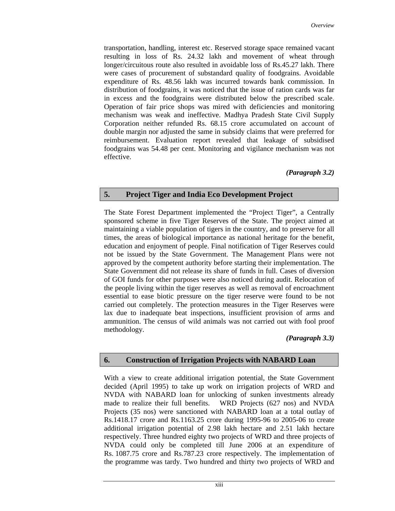transportation, handling, interest etc. Reserved storage space remained vacant resulting in loss of Rs. 24.32 lakh and movement of wheat through longer/circuitous route also resulted in avoidable loss of Rs.45.27 lakh. There were cases of procurement of substandard quality of foodgrains. Avoidable expenditure of Rs. 48.56 lakh was incurred towards bank commission. In distribution of foodgrains, it was noticed that the issue of ration cards was far in excess and the foodgrains were distributed below the prescribed scale. Operation of fair price shops was mired with deficiencies and monitoring mechanism was weak and ineffective. Madhya Pradesh State Civil Supply Corporation neither refunded Rs. 68.15 crore accumulated on account of double margin nor adjusted the same in subsidy claims that were preferred for reimbursement. Evaluation report revealed that leakage of subsidised foodgrains was 54.48 per cent. Monitoring and vigilance mechanism was not effective.

#### *(Paragraph 3.2)*

# **5. Project Tiger and India Eco Development Project**

The State Forest Department implemented the "Project Tiger", a Centrally sponsored scheme in five Tiger Reserves of the State. The project aimed at maintaining a viable population of tigers in the country, and to preserve for all times, the areas of biological importance as national heritage for the benefit, education and enjoyment of people. Final notification of Tiger Reserves could not be issued by the State Government. The Management Plans were not approved by the competent authority before starting their implementation. The State Government did not release its share of funds in full. Cases of diversion of GOI funds for other purposes were also noticed during audit. Relocation of the people living within the tiger reserves as well as removal of encroachment essential to ease biotic pressure on the tiger reserve were found to be not carried out completely. The protection measures in the Tiger Reserves were lax due to inadequate beat inspections, insufficient provision of arms and ammunition. The census of wild animals was not carried out with fool proof methodology.

# *(Paragraph 3.3)*

# **6. Construction of Irrigation Projects with NABARD Loan**

With a view to create additional irrigation potential, the State Government decided (April 1995) to take up work on irrigation projects of WRD and NVDA with NABARD loan for unlocking of sunken investments already made to realize their full benefits. WRD Projects (627 nos) and NVDA Projects (35 nos) were sanctioned with NABARD loan at a total outlay of Rs.1418.17 crore and Rs.1163.25 crore during 1995-96 to 2005-06 to create additional irrigation potential of 2.98 lakh hectare and 2.51 lakh hectare respectively. Three hundred eighty two projects of WRD and three projects of NVDA could only be completed till June 2006 at an expenditure of Rs. 1087.75 crore and Rs.787.23 crore respectively. The implementation of the programme was tardy. Two hundred and thirty two projects of WRD and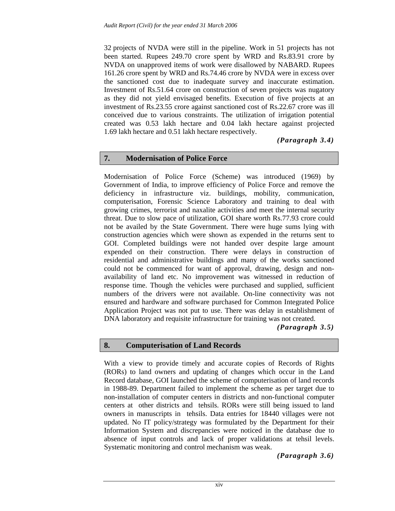32 projects of NVDA were still in the pipeline. Work in 51 projects has not been started. Rupees 249.70 crore spent by WRD and Rs.83.91 crore by NVDA on unapproved items of work were disallowed by NABARD. Rupees 161.26 crore spent by WRD and Rs.74.46 crore by NVDA were in excess over the sanctioned cost due to inadequate survey and inaccurate estimation. Investment of Rs.51.64 crore on construction of seven projects was nugatory as they did not yield envisaged benefits. Execution of five projects at an investment of Rs.23.55 crore against sanctioned cost of Rs.22.67 crore was ill conceived due to various constraints. The utilization of irrigation potential created was 0.53 lakh hectare and 0.04 lakh hectare against projected 1.69 lakh hectare and 0.51 lakh hectare respectively.

*(Paragraph 3.4)* 

#### **7. Modernisation of Police Force**

Modernisation of Police Force (Scheme) was introduced (1969) by Government of India, to improve efficiency of Police Force and remove the deficiency in infrastructure viz. buildings, mobility, communication, computerisation, Forensic Science Laboratory and training to deal with growing crimes, terrorist and naxalite activities and meet the internal security threat. Due to slow pace of utilization, GOI share worth Rs.77.93 crore could not be availed by the State Government. There were huge sums lying with construction agencies which were shown as expended in the returns sent to GOI. Completed buildings were not handed over despite large amount expended on their construction. There were delays in construction of residential and administrative buildings and many of the works sanctioned could not be commenced for want of approval, drawing, design and nonavailability of land etc. No improvement was witnessed in reduction of response time. Though the vehicles were purchased and supplied, sufficient numbers of the drivers were not available. On-line connectivity was not ensured and hardware and software purchased for Common Integrated Police Application Project was not put to use. There was delay in establishment of DNA laboratory and requisite infrastructure for training was not created.

*(Paragraph 3.5)* 

#### **8. Computerisation of Land Records**

With a view to provide timely and accurate copies of Records of Rights (RORs) to land owners and updating of changes which occur in the Land Record database, GOI launched the scheme of computerisation of land records in 1988-89. Department failed to implement the scheme as per target due to non-installation of computer centers in districts and non-functional computer centers at other districts and tehsils. RORs were still being issued to land owners in manuscripts in tehsils. Data entries for 18440 villages were not updated. No IT policy/strategy was formulated by the Department for their Information System and discrepancies were noticed in the database due to absence of input controls and lack of proper validations at tehsil levels. Systematic monitoring and control mechanism was weak.

*(Paragraph 3.6)*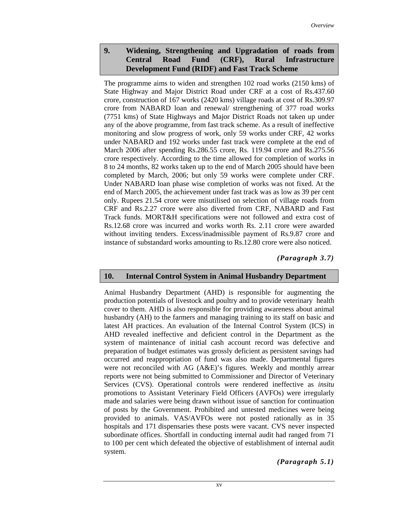# **9. Widening, Strengthening and Upgradation of roads from Central Road Fund (CRF), Rural Infrastructure Development Fund (RIDF) and Fast Track Scheme**

The programme aims to widen and strengthen 102 road works (2150 kms) of State Highway and Major District Road under CRF at a cost of Rs.437.60 crore, construction of 167 works (2420 kms) village roads at cost of Rs.309.97 crore from NABARD loan and renewal/ strengthening of 377 road works (7751 kms) of State Highways and Major District Roads not taken up under any of the above programme, from fast track scheme. As a result of ineffective monitoring and slow progress of work, only 59 works under CRF, 42 works under NABARD and 192 works under fast track were complete at the end of March 2006 after spending Rs.286.55 crore, Rs. 119.94 crore and Rs.275.56 crore respectively. According to the time allowed for completion of works in 8 to 24 months, 82 works taken up to the end of March 2005 should have been completed by March, 2006; but only 59 works were complete under CRF. Under NABARD loan phase wise completion of works was not fixed. At the end of March 2005, the achievement under fast track was as low as 39 per cent only. Rupees 21.54 crore were misutilised on selection of village roads from CRF and Rs.2.27 crore were also diverted from CRF, NABARD and Fast Track funds. MORT&H specifications were not followed and extra cost of Rs.12.68 crore was incurred and works worth Rs. 2.11 crore were awarded without inviting tenders. Excess/inadmissible payment of Rs.9.87 crore and instance of substandard works amounting to Rs.12.80 crore were also noticed.

*(Paragraph 3.7)* 

#### **10. Internal Control System in Animal Husbandry Department**

Animal Husbandry Department (AHD) is responsible for augmenting the production potentials of livestock and poultry and to provide veterinary health cover to them. AHD is also responsible for providing awareness about animal husbandry (AH) to the farmers and managing training to its staff on basic and latest AH practices. An evaluation of the Internal Control System (ICS) in AHD revealed ineffective and deficient control in the Department as the system of maintenance of initial cash account record was defective and preparation of budget estimates was grossly deficient as persistent savings had occurred and reappropriation of fund was also made. Departmental figures were not reconciled with AG (A&E)'s figures. Weekly and monthly arrear reports were not being submitted to Commissioner and Director of Veterinary Services (CVS). Operational controls were rendered ineffective as *insitu* promotions to Assistant Veterinary Field Officers (AVFOs) were irregularly made and salaries were being drawn without issue of sanction for continuation of posts by the Government. Prohibited and untested medicines were being provided to animals. VAS/AVFOs were not posted rationally as in 35 hospitals and 171 dispensaries these posts were vacant. CVS never inspected subordinate offices. Shortfall in conducting internal audit had ranged from 71 to 100 per cent which defeated the objective of establishment of internal audit system.

*(Paragraph 5.1)*